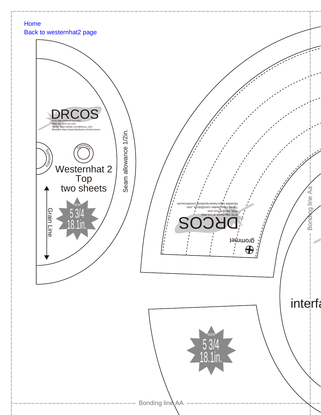## [Home](http://www.dr-cos.info/)

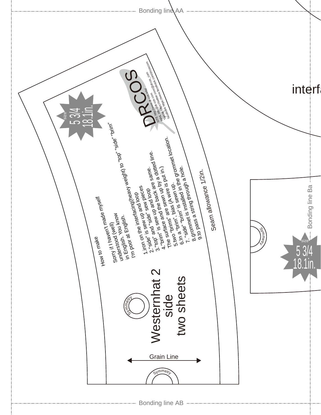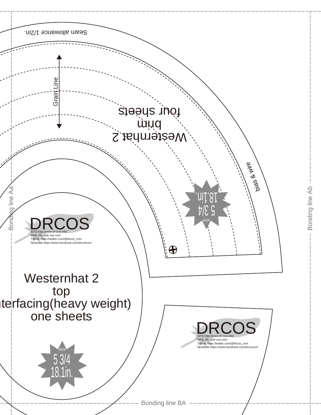